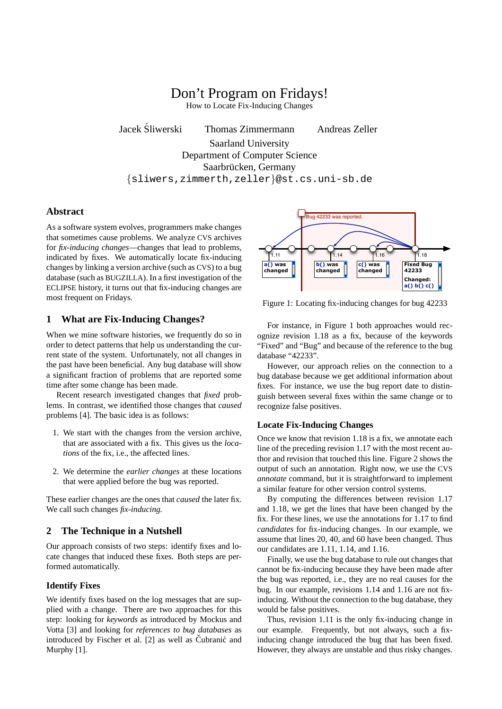# Don't Program on Fridays!

How to Locate Fix-Inducing Changes

Jacek Sliwerski Thomas Zimmermann Andreas Zeller ´

Saarland University Department of Computer Science Saarbrücken, Germany {sliwers,zimmerth,zeller}@st.cs.uni-sb.de

#### **Abstract**

As a software system evolves, programmers make changes that sometimes cause problems. We analyze CVS archives for *fix-inducing changes*—changes that lead to problems, indicated by fixes. We automatically locate fix-inducing changes by linking a version archive (such as CVS) to a bug database (such as BUGZILLA). In a first investigation of the ECLIPSE history, it turns out that fix-inducing changes are most frequent on Fridays.

# **1 What are Fix-Inducing Changes?**

When we mine software histories, we frequently do so in order to detect patterns that help us understanding the current state of the system. Unfortunately, not all changes in the past have been beneficial. Any bug database will show a significant fraction of problems that are reported some time after some change has been made.

Recent research investigated changes that *fixed* problems. In contrast, we identified those changes that *caused* problems [4]. The basic idea is as follows:

- 1. We start with the changes from the version archive, that are associated with a fix. This gives us the *locations* of the fix, i.e., the affected lines.
- 2. We determine the *earlier changes* at these locations that were applied before the bug was reported.

These earlier changes are the ones that *caused* the later fix. We call such changes *fix-inducing.*

## **2 The Technique in a Nutshell**

Our approach consists of two steps: identify fixes and locate changes that induced these fixes. Both steps are performed automatically.

### **Identify Fixes**

We identify fixes based on the log messages that are supplied with a change. There are two approaches for this step: looking for *keywords* as introduced by Mockus and Votta [3] and looking for *references to bug databases* as introduced by Fischer et al.  $[2]$  as well as Cubranic and Murphy [1].



Figure 1: Locating fix-inducing changes for bug 42233

For instance, in Figure 1 both approaches would recognize revision 1.18 as a fix, because of the keywords "Fixed" and "Bug" and because of the reference to the bug database "42233".

However, our approach relies on the connection to a bug database because we get additional information about fixes. For instance, we use the bug report date to distinguish between several fixes within the same change or to recognize false positives.

#### **Locate Fix-Inducing Changes**

Once we know that revision 1.18 is a fix, we annotate each line of the preceding revision 1.17 with the most recent author and revision that touched this line. Figure 2 shows the output of such an annotation. Right now, we use the CVS *annotate* command, but it is straightforward to implement a similar feature for other version control systems.

By computing the differences between revision 1.17 and 1.18, we get the lines that have been changed by the fix. For these lines, we use the annotations for 1.17 to find *candidates* for fix-inducing changes. In our example, we assume that lines 20, 40, and 60 have been changed. Thus our candidates are 1.11, 1.14, and 1.16.

Finally, we use the bug database to rule out changes that cannot be fix-inducing because they have been made after the bug was reported, i.e., they are no real causes for the bug. In our example, revisions 1.14 and 1.16 are not fixinducing. Without the connection to the bug database, they would be false positives.

Thus, revision 1.11 is the only fix-inducing change in our example. Frequently, but not always, such a fixinducing change introduced the bug that has been fixed. However, they always are unstable and thus risky changes.